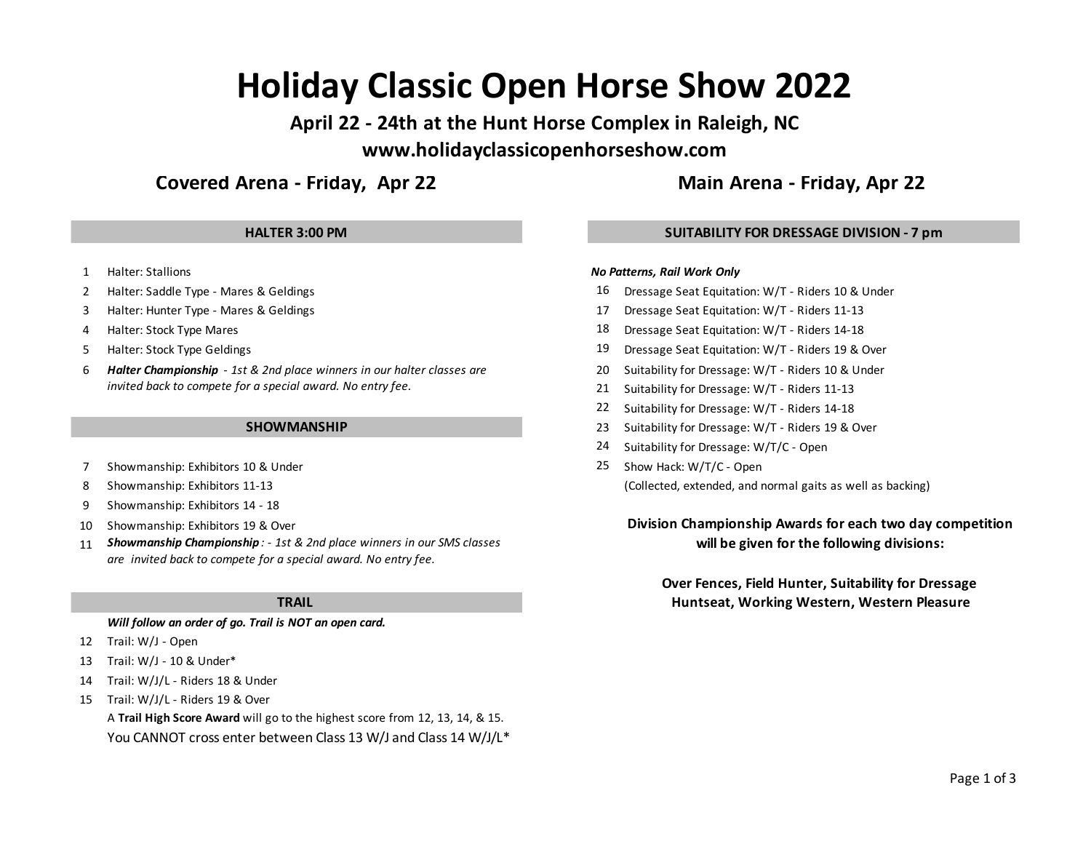# **Holiday Classic Open Horse Show 2022**

**April 22 - 24th at the Hunt Horse Complex in Raleigh, NC www.holidayclassicopenhorseshow.com**

# **Covered Arena - Friday, Apr 22 Main Arena - Friday, Apr 22**

- 1 Halter: Stallions
- 
- 
- 
- 
- 6 20 Suitability for Dressage: W/T Riders 10 & Under *Halter Championship 1st & 2nd place winners in our halter classes are invited back to compete for a special award. No entry fee.*

# **SHOWMANSHIP**

- 7 Showmanship: Exhibitors 10 & Under 25 Show Hack: W/T/C Open
- 
- 9 Showmanship: Exhibitors 14 18
- 10 Showmanship: Exhibitors 19 & Over
- 11 *Showmanship Championship : - 1st & 2nd place winners in our SMS classes* **will be given for the following divisions:** *are invited back to compete for a special award. No entry fee.*

# **TRAIL**

*Will follow an order of go. Trail is NOT an open card.*

- 12 Trail: W/J Open
- 13 Trail: W/J 10 & Under\*
- 14 Trail: W/J/L Riders 18 & Under
- 15 Trail: W/J/L Riders 19 & Over
	- A **Trail High Score Award** will go to the highest score from 12, 13, 14, & 15. You CANNOT cross enter between Class 13 W/J and Class 14 W/J/L\*

# **HALTER 3:00 PM SUITABILITY FOR DRESSAGE DIVISION - 7 pm**

# *No Patterns, Rail Work Only*

- 2 Halter: Saddle Type Mares & Geldings 16 Dressage Seat Equitation: W/T Riders 10 & Under
- 3 Halter: Hunter Type Mares & Geldings 17 Dressage Seat Equitation: W/T Riders 11-13
- 4 Halter: Stock Type Mares 14-18 Dressage Seat Equitation: W/T Riders 14-18
- 5 Halter: Stock Type Geldings 19 Dressage Seat Equitation: W/T Riders 19 & Over
	-
	- 21 Suitability for Dressage: W/T Riders 11-13
	- 22 Suitability for Dressage: W/T Riders 14-18
	- 23 Suitability for Dressage: W/T Riders 19 & Over
	- 24 Suitability for Dressage: W/T/C Open
- 8 Showmanship: Exhibitors 11-13 (Collected, extended, and normal gaits as well as backing)

# **Division Championship Awards for each two day competition**

**Over Fences, Field Hunter, Suitability for Dressage Huntseat, Working Western, Western Pleasure**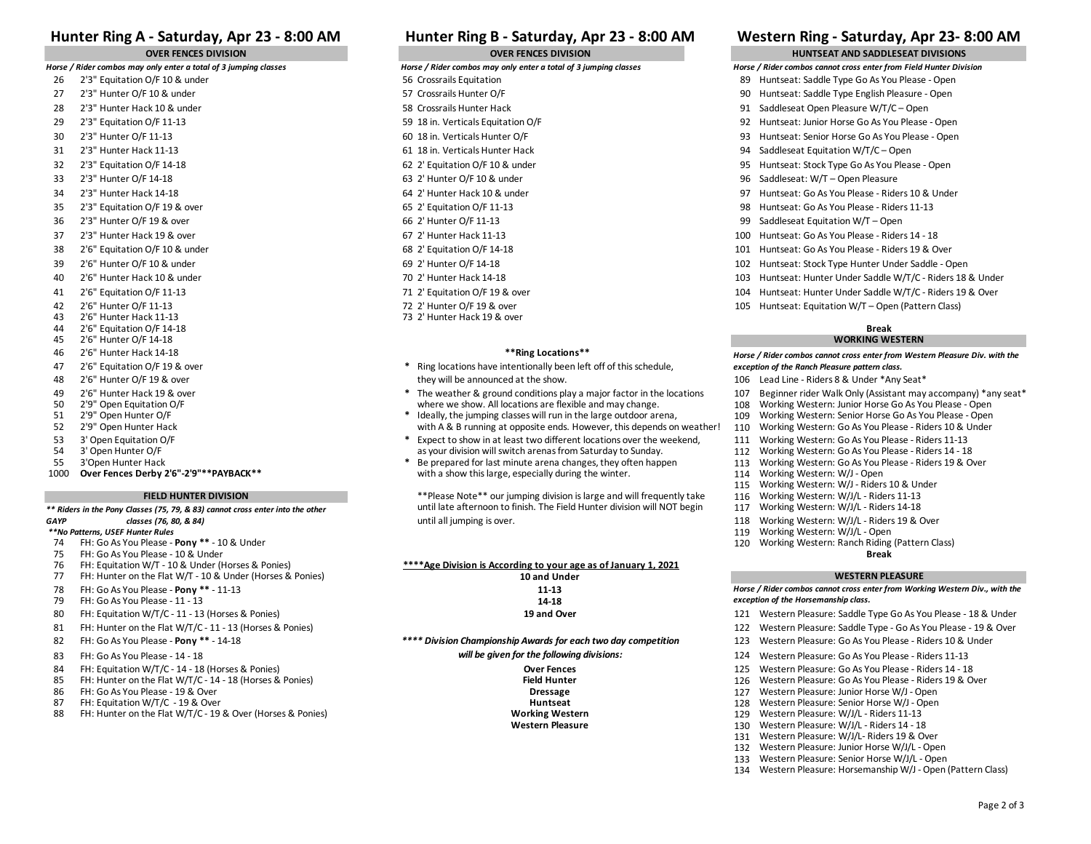# **Hunter Ring B - Saturday, Apr 23 - 8:00 AM Hunter Ring A - Saturday, Apr 23 - 8:00 AM Western Ring - Saturday, Apr 23- 8:00 AM**

- 
- 
- 
- 
- 
- 
- 
- 
- 
- 
- 
- 
- 
- 
- 
- 40 2'6" Hunter Hack 10 & under 70 2' Hunter Hack 14-18 103 Huntseat: Hunter Under Saddle W/T/C Riders 18 & Under
- 41 2'6" Equitation O/F 11-13 71 2' Equitation O/F 19 & over 104 Huntseat: Hunter Under Saddle W/T/C Riders 19 & Over
- 42 2'6" Hunter O/F 11-13 72 2' Hunter O/F 19 & over 105 Huntseat: Equitation W/T Open (Pattern Class)
- 43 2'6" Hunter Hack 11-13 73 2' Hunter Hack 19 & over
- 44 2'6" Equitation O/F 14-18
- 45 2'6" Hunter O/F 14-18
- 46 2'6" Hunter Hack 14-18 **\*\*Ring Locations\*\***
- 
- 
- 
- 
- 
- 
- 
- 
- 
- 

### **FIELD HUNTER DIVISION**

*\*\* Riders in the Pony Classes (75, 79, & 83) cannot cross enter into the other GAYP classes (76, 80, & 84)*

- *\*\*No Patterns, USEF Hunter Rules*
- 
- 74 FH: Go As You Please **Pony \*\*** 10 & Under<br>75 FH: Go As You Please 10 & Under 75 FH: Go As You Please - 10 & Under
- 76 FH: Equitation W/T 10 & Under (Horses & Ponies)
- 77 FH: Hunter on the Flat W/T 10 & Under (Horses & Ponies) **10 and Under**
- 
- 79 FH: Go As You Please 11 13 **14-18**
- 80 FH: Equitation W/T/C 11 13 (Horses & Ponies) **19 and Over** 121 Western Pleasure: Saddle Type Go As You Please 18 & Under
- 81 FH: Hunter on the Flat W/T/C 11 13 (Horses & Ponies) 20 Western Pleasure: Saddle Type Go As You Please 19 & Over
- 
- 
- 84 FH: Equitation W/T/C 14 18 (Horses & Ponies) **Contain Communication Communication** Pressure: Go As You Please Riders 14 18<br>126 PH: Hunter on the Flat W/T/C 14 18 (Horses & Ponies) **Communication Pressure: Go**
- 85 FH: Hunter on the Flat W/T/C 14 18 (Horses & Ponies) **Field Hunter** Field Hunter **Field Hunter** 126 Western Pleasure: Go As You Please 19 & Over 127 Western Pleasure: Go As You Please 19 & Over 127 Western Pleas
- 
- 
- 87 FH: Equitation W/T/C 19 & Over **Horse Senior Horse W/J** Open<br>128 Western 128 Western 129 Western 129 Western 129 Western 129 Western Pleasure: W/J/L Riders 11-13 88 FH: Hunter on the Flat W/T/C - 19 & Over (Horses & Ponies) **Working Western Working Western 129 Working Western**<br>Western Pleasure: W/T - Riders 1130 Western Pleasure: Western Pleasure: Western Pleasure: Western Pleasure

- *Horse / Rider combos may only enter a total of 3 jumping classes Horse / Rider combos may only enter a total of 3 jumping classes*
	-
- 27 2'3" Hunter O/F 10 & under Some The State of English Pleasure Open State of Figure 2012 12:30 Huntseat: Saddle Type English Pleasure Open
	-
	-
	-
	-
	-
	-
	-
	-
	-
	-
	-
	-
	-
	-
	-
	-

- 47 2'6" Equitation O/F 19 & over **\*** Ring locations have intentionally been left off of this schedule, 48 2'6" Hunter O/F 19 & over the state of the show will be announced at the show. They will be announced at the show. They will be announced at the show. They will be announced at the show. The show sear the show sear the
- 49 2'6" Hunter Hack 19 & over **\*** The weather & ground conditions play a major factor in the locations 107 Beginner rider Walk Only (Assistant may accompany) \*any seat\*
- 50 2'9" Open Equitation O/F entity of the state of the state of the where we show. All locations are flexible and may change. 108 Working Western: Junior Horse Go As You Please Open and The large of the ally, the jumping 51 2'9" Open Hunter O/F **\*** Ideally, the jumping classes will run in the large outdoor arena, 109 Working Western: Senior Horse Go As You Please - Open
- 52 2'9" Open Hunter Hack with A & B running at opposite ends. However, this depends on weather! 110<br>111 S3 3' Open Equitation O/F Comparent: Go Assembly Assembly that Heast to show in at least two different locations over 53 3' Open Equitation O/F **1996 and Taylor 10.53 3' Open Equitation O/F** 2016 2017 11 Structure to show in at least two different locations over the weekend, 111 Working Western: Go As You Please - Riders 11-13 3' Open Hun
- 54 3' Open Hunter O/F Complease Riders 14 18 as your division will switch arenas from Saturday to Sunday.<br>The stream of the prepared for last minute arena changes, they often happen the surface and the Sunday. The Sund 55 3'Open Hunter Hack **1998 1998 120 The Prepared for last** minute arena changes, they often happen 113 Working Western: Go As You Please - Riders 19 & Over<br>1000 **Over Fences Derby 2'6"-2'9"\*\*PAYBACK\*\*** 114 Working Western with a show this large, especially during the winter. 114<br>115 **115**

\*\*Please Note\*\* our jumping division is large and will frequently take 116 Working Western: W/J/L - Riders 11-13<br>117 Working Western to finish. The Field Hunter division will NOT begin 117 Working Western: W/J/L - Riders 1 until late afternoon to finish. The Field Hunter division will NOT begin 117 until all jumping is over. 118 Working Western: W/J/L - Riders 19 & Over

78 FH: Go As You Please - **Pony \*\*** - 11-13 **11-13 \*\*\*\*Age Division is According to your age as of January 1, 2021**

82 FH: Go As You Please - **Pony \*\* -** 14-18 **Note 20 As Amedia Compionship Awards for each two day competition and and the section Pleasure: Go As You Please - Riders 10 & Under** 83 FH: Go As You Please - 14 - 18 **State - 14 - 18** Network Controller will be given for the following divisions: the same of the same of the same of the same of the same of the same of the same of the same of the same of *will be given for the following divisions:*

86 FH: Go As You Please - 19 & Over **Dressage** 127 Western Pleasure: Junior Horse W/J - Open

### **OVER FENCES DIVISION OVER FENCES DIVISION HUNTSEAT AND SADDLESEAT DIVISIONS**

- *Horse / Rider combos cannot cross enter from Field Hunter Division*
- 2'3" Equitation O/F 10 & under Samuel Comparent Sanction Section Section 30 Huntseat: Saddle Type Go As You Please Open
- 213" Hunter Hack 10 & under example and the Same of the Same of the Same of the Same of the Same of the Same of the Same of the Same of the Same of the Same of the Same of the Same of the Same of the Same of the Same of th
	-
- 29 2'3" Equitation O/F 11-13 59 18 in. Verticals Equitation O/F 92 Huntseat: Junior Horse Go As You Please Open
- 30 2'3" Hunter O/F 11-13 60 18 in. Verticals Hunter O/F 93 Huntseat: Senior Horse Go As You Please Open
- 31 2'3" Hunter Hack 11-13 **12-3" Hunter Hack 11-13** 61 18 in. Verticals Hunter Hack 94 Saddleseat Equitation W/T/C Open
- 32 2'3" Equitation O/F 14-18 **62 2' Equitation O/F 10 & under** 95 Huntseat: Stock Type Go As You Please Open
- 33 2'3" Hunter O/F 10 & under 90 and 100 Saddleseat: W/T Open Pleasure
- 34 2'3" Hunter Hack 14-18 64 2' Hunter Hack 10 & under 97 Huntseat: Go As You Please Riders 10 & Under
- 35 2'3" Equitation O/F 19 & over 65 2' Equitation O/F 11-13 98 Huntseat: Go As You Please Riders 11-13
- 36 2'3" Hunter O/F 19 & over 66 2' Hunter O/F 11-13 99 Saddleseat Equitation W/T Open

*exception of the Ranch Pleasure pattern class.*

- 37 2'3" Hunter Hack 19 & over example and the Case Riders 14 18 and the Case Riders 14 18 and the Case Riders 14 18 and the Case Riders 14 18
- 38 2'6" Equitation O/F 10 & under 68 2' Equitation O/F 14-18 101 Huntseat: Go As You Please Riders 19 & Over
- 39 2'6" Hunter O/F 10 & under 69 2' Hunter O/F 14-18 102 Huntseat: Stock Type Hunter Under Saddle Open

**Break WORKING WESTERN** *Horse / Rider combos cannot cross enter from Western Pleasure Div. with the* 

Working Western: W/J - Riders 10 & Under<br>Working Western: W/J/L - Riders 11-13

119 Working Western: W/J/L - Open<br>120 Working Western: Ranch Riding (Pattern Class)

*exception of the Horsemanship class.*

**Break**

**WESTERN PLEASURE** *Horse / Rider combos cannot cross enter from Working Western Div., with the* 

Western Pleasure: W/J/L - Riders 14 - 18 Western Pleasure: W/J/L- Riders 19 & Over Western Pleasure: Junior Horse W/J/L - Open Western Pleasure: Senior Horse W/J/L - Open

Western Pleasure: Horsemanship W/J - Open (Pattern Class)

Page 2 of 3